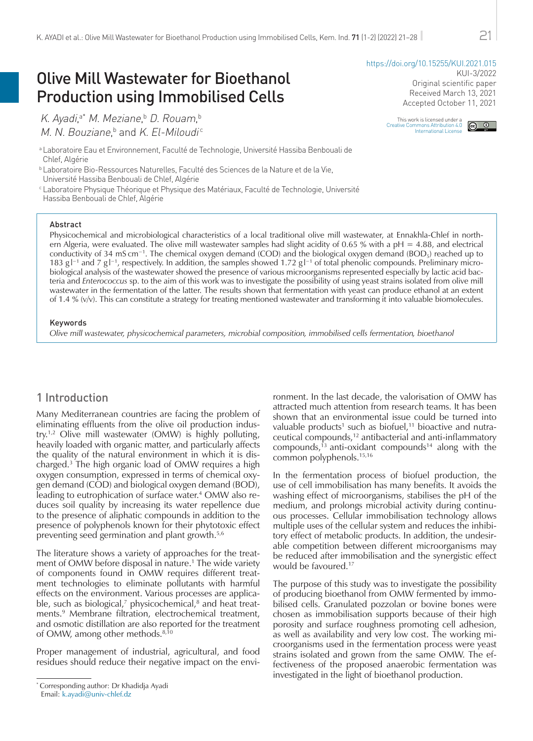# Olive Mill Wastewater for Bioethanol Production using Immobilised Cells

K. Ayadi,ª\* M. Meziane,ʰ D. Rouam,ʰ M. N. Bouziane,<sup>b</sup> and K. El-Miloudi<sup>c</sup>

<sup>a</sup> Laboratoire Eau et Environnement, Faculté de Technologie, Université Hassiba Benbouali de Chlef, Algérie

<sup>b</sup> Laboratoire Bio-Ressources Naturelles, Faculté des Sciences de la Nature et de la Vie, Université Hassiba Benbouali de Chlef, Algérie

<sup>c</sup> Laboratoire Physique Théorique et Physique des Matériaux, Faculté de Technologie, Université Hassiba Benbouali de Chlef, Algérie

#### Abstract

Physicochemical and microbiological characteristics of a local traditional olive mill wastewater, at Ennakhla-Chlef in northern Algeria, were evaluated. The olive mill wastewater samples had slight acidity of 0.65 % with a  $pH = 4.88$ , and electrical conductivity of 34 mS cm<sup>−1</sup>. The chemical oxygen demand (COD) and the biological oxygen demand (BOD<sub>5</sub>) reached up to 183 g l<sup>-1</sup> and 7 g l<sup>-1</sup>, respectively. In addition, the samples showed 1.72 g l<sup>-1</sup> of total phenolic compounds. Preliminary microbiological analysis of the wastewater showed the presence of various microorganisms represented especially by lactic acid bacteria and *Enterococcus* sp. to the aim of this work was to investigate the possibility of using yeast strains isolated from olive mill wastewater in the fermentation of the latter. The results shown that fermentation with yeast can produce ethanol at an extent of 1.4 % (v/v). This can constitute a strategy for treating mentioned wastewater and transforming it into valuable biomolecules.

## Keywords

*Olive mill wastewater, physicochemical parameters, microbial composition, immobilised cells fermentation, bioethanol*

# 1 Introduction

Many Mediterranean countries are facing the problem of eliminating effluents from the olive oil production industry.1,2 Olive mill wastewater (OMW) is highly polluting, heavily loaded with organic matter, and particularly affects the quality of the natural environment in which it is discharged.3 The high organic load of OMW requires a high oxygen consumption, expressed in terms of chemical oxygen demand (COD) and biological oxygen demand (BOD), leading to eutrophication of surface water.<sup>4</sup> OMW also reduces soil quality by increasing its water repellence due to the presence of aliphatic compounds in addition to the presence of polyphenols known for their phytotoxic effect preventing seed germination and plant growth.5,6

The literature shows a variety of approaches for the treatment of OMW before disposal in nature.<sup>1</sup> The wide variety of components found in OMW requires different treatment technologies to eliminate pollutants with harmful effects on the environment. Various processes are applicable, such as biological,<sup>7</sup> physicochemical,<sup>8</sup> and heat treatments.9 Membrane filtration, electrochemical treatment, and osmotic distillation are also reported for the treatment of OMW, among other methods.<sup>8,10</sup>

Proper management of industrial, agricultural, and food residues should reduce their negative impact on the environment. In the last decade, the valorisation of OMW has attracted much attention from research teams. It has been shown that an environmental issue could be turned into valuable products<sup>1</sup> such as biofuel, $11$  bioactive and nutraceutical compounds,12 antibacterial and anti-inflammatory compounds,<sup>13</sup> anti-oxidant compounds<sup>14</sup> along with the common polyphenols.15,16

In the fermentation process of biofuel production, the use of cell immobilisation has many benefits. It avoids the washing effect of microorganisms, stabilises the pH of the medium, and prolongs microbial activity during continuous processes. Cellular immobilisation technology allows multiple uses of the cellular system and reduces the inhibitory effect of metabolic products. In addition, the undesirable competition between different microorganisms may be reduced after immobilisation and the synergistic effect would be favoured.<sup>17</sup>

The purpose of this study was to investigate the possibility of producing bioethanol from OMW fermented by immobilised cells. Granulated pozzolan or bovine bones were chosen as immobilisation supports because of their high porosity and surface roughness promoting cell adhesion, as well as availability and very low cost. The working microorganisms used in the fermentation process were yeast strains isolated and grown from the same OMW. The effectiveness of the proposed anaerobic fermentation was investigated in the light of bioethanol production.

# KUI-3/2022 Original scientific paper Received March 13, 2021

This work is licensed under a [Creative Commons Attribution 4.0](http://creativecommons.org/licenses/by/4.0/)  [International License](http://creativecommons.org/licenses/by/4.0/)  $\odot$   $\odot$ 

Accepted October 11, 2021

<https://doi.org/10.15255/KUI.2021.015>

<sup>\*</sup> Corresponding author: Dr Khadidja Ayadi Email: [k.ayadi@univ-chlef.dz](mailto:k.ayadi%40univ-chlef.dz?subject=)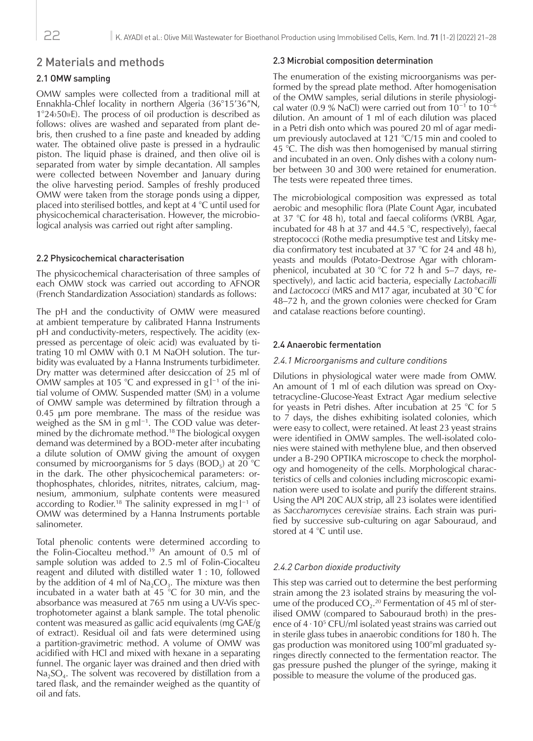# 2 Materials and methods

# 2.1 OMW sampling

OMW samples were collected from a traditional mill at Ennakhla-Chlef locality in northern Algeria (36°15'36"N, 1°24›50»E). The process of oil production is described as follows: olives are washed and separated from plant debris, then crushed to a fine paste and kneaded by adding water. The obtained olive paste is pressed in a hydraulic piston. The liquid phase is drained, and then olive oil is separated from water by simple decantation. All samples were collected between November and January during the olive harvesting period. Samples of freshly produced OMW were taken from the storage ponds using a dipper, placed into sterilised bottles, and kept at 4 °C until used for physicochemical characterisation. However, the microbiological analysis was carried out right after sampling.

# 2.2 Physicochemical characterisation

The physicochemical characterisation of three samples of each OMW stock was carried out according to AFNOR (French Standardization Association) standards as follows:

The pH and the conductivity of OMW were measured at ambient temperature by calibrated Hanna Instruments pH and conductivity-meters, respectively. The acidity (expressed as percentage of oleic acid) was evaluated by titrating 10 ml OMW with 0.1 M NaOH solution. The turbidity was evaluated by a Hanna Instruments turbidimeter. Dry matter was determined after desiccation of 25 ml of OMW samples at 105 °C and expressed in  $gl^{-1}$  of the initial volume of OMW. Suspended matter (SM) in a volume of OMW sample was determined by filtration through a 0.45 μm pore membrane. The mass of the residue was weighed as the SM in g ml<sup>-1</sup>. The COD value was determined by the dichromate method.<sup>18</sup> The biological oxygen demand was determined by a BOD-meter after incubating a dilute solution of OMW giving the amount of oxygen consumed by microorganisms for 5 days (BOD<sub>5</sub>) at 20  $^{\circ}$ C in the dark. The other physicochemical parameters: orthophosphates, chlorides, nitrites, nitrates, calcium, magnesium, ammonium, sulphate contents were measured according to Rodier.<sup>18</sup> The salinity expressed in mg l<sup>−1</sup> of OMW was determined by a Hanna Instruments portable salinometer.

Total phenolic contents were determined according to the Folin-Ciocalteu method.<sup>19</sup> An amount of 0.5 ml of sample solution was added to 2.5 ml of Folin-Ciocalteu reagent and diluted with distilled water 1 : 10, followed by the addition of 4 ml of  $Na<sub>2</sub>CO<sub>3</sub>$ . The mixture was then incubated in a water bath at 45 °C for 30 min, and the absorbance was measured at 765 nm using a UV-Vis spectrophotometer against a blank sample. The total phenolic content was measured as gallic acid equivalents (mg GAE/g of extract). Residual oil and fats were determined using a partition-gravimetric method. A volume of OMW was acidified with HCl and mixed with hexane in a separating funnel. The organic layer was drained and then dried with  $Na<sub>2</sub>SO<sub>4</sub>$ . The solvent was recovered by distillation from a tared flask, and the remainder weighed as the quantity of oil and fats.

# 2.3 Microbial composition determination

The enumeration of the existing microorganisms was performed by the spread plate method. After homogenisation of the OMW samples, serial dilutions in sterile physiological water (0.9 % NaCl) were carried out from 10−1 to 10−6 dilution. An amount of 1 ml of each dilution was placed in a Petri dish onto which was poured 20 ml of agar medium previously autoclaved at 121 °C/15 min and cooled to 45 °C. The dish was then homogenised by manual stirring and incubated in an oven. Only dishes with a colony number between 30 and 300 were retained for enumeration. The tests were repeated three times.

The microbiological composition was expressed as total aerobic and mesophilic flora (Plate Count Agar, incubated at 37 °C for 48 h), total and faecal coliforms (VRBL Agar, incubated for 48 h at 37 and 44.5 °C, respectively), faecal streptococci (Rothe media presumptive test and Litsky media confirmatory test incubated at 37 °C for 24 and 48 h), yeasts and moulds (Potato-Dextrose Agar with chloramphenicol, incubated at 30 °C for 72 h and 5–7 days, respectively), and lactic acid bacteria, especially *Lactobacilli* and *Lactococci* (MRS and M17 agar, incubated at 30 °C for 48–72 h, and the grown colonies were checked for Gram and catalase reactions before counting).

# 2.4 Anaerobic fermentation

#### 2.4.1 Microorganisms and culture conditions

Dilutions in physiological water were made from OMW. An amount of 1 ml of each dilution was spread on Oxytetracycline-Glucose-Yeast Extract Agar medium selective for yeasts in Petri dishes. After incubation at 25 °C for 5 to 7 days, the dishes exhibiting isolated colonies, which were easy to collect, were retained. At least 23 yeast strains were identified in OMW samples. The well-isolated colonies were stained with methylene blue, and then observed under a B-290 OPTIKA microscope to check the morphology and homogeneity of the cells. Morphological characteristics of cells and colonies including microscopic examination were used to isolate and purify the different strains. Using the API 20C AUX strip, all 23 isolates were identified as *Saccharomyces cerevisiae* strains. Each strain was purified by successive sub-culturing on agar Sabouraud, and stored at 4 °C until use.

## 2.4.2 Carbon dioxide productivity

This step was carried out to determine the best performing strain among the 23 isolated strains by measuring the volume of the produced  $CO_2$ .<sup>20</sup> Fermentation of 45 ml of sterilised OMW (compared to Sabouraud broth) in the presence of 4∙105 CFU/ml isolated yeast strains was carried out in sterile glass tubes in anaerobic conditions for 180 h. The gas production was monitored using 100°ml graduated syringes directly connected to the fermentation reactor. The gas pressure pushed the plunger of the syringe, making it possible to measure the volume of the produced gas.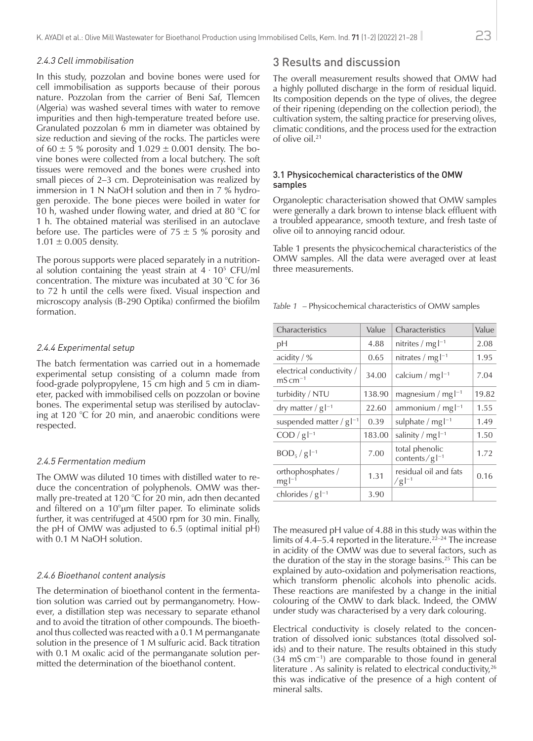#### 2.4.3 Cell immobilisation

In this study, pozzolan and bovine bones were used for cell immobilisation as supports because of their porous nature. Pozzolan from the carrier of Beni Saf, Tlemcen (Algeria) was washed several times with water to remove impurities and then high-temperature treated before use. Granulated pozzolan 6 mm in diameter was obtained by size reduction and sieving of the rocks. The particles were of 60  $\pm$  5 % porosity and 1.029  $\pm$  0.001 density. The bovine bones were collected from a local butchery. The soft tissues were removed and the bones were crushed into small pieces of 2–3 cm. Deproteinisation was realized by immersion in 1 N NaOH solution and then in 7 % hydrogen peroxide. The bone pieces were boiled in water for 10 h, washed under flowing water, and dried at 80  $^{\circ}$ C for 1 h. The obtained material was sterilised in an autoclave before use. The particles were of  $75 \pm 5$  % porosity and  $1.01 \pm 0.005$  density.

The porous supports were placed separately in a nutritional solution containing the yeast strain at  $4 \cdot 10^5$  CFU/ml concentration. The mixture was incubated at 30 °C for 36 to 72 h until the cells were fixed. Visual inspection and microscopy analysis (B-290 Optika) confirmed the biofilm formation.

#### 2.4.4 Experimental setup

The batch fermentation was carried out in a homemade experimental setup consisting of a column made from food-grade polypropylene, 15 cm high and 5 cm in diameter, packed with immobilised cells on pozzolan or bovine bones. The experimental setup was sterilised by autoclaving at 120 °C for 20 min, and anaerobic conditions were respected.

## 2.4.5 Fermentation medium

The OMW was diluted 10 times with distilled water to reduce the concentration of polyphenols. OMW was thermally pre-treated at 120 °C for 20 min, adn then decanted and filtered on a 10°μm filter paper. To eliminate solids further, it was centrifuged at 4500 rpm for 30 min. Finally, the pH of OMW was adjusted to 6.5 (optimal initial pH) with 0.1 M NaOH solution.

#### 2.4.6 Bioethanol content analysis

The determination of bioethanol content in the fermentation solution was carried out by permanganometry. However, a distillation step was necessary to separate ethanol and to avoid the titration of other compounds. The bioethanol thus collected was reacted with a 0.1 M permanganate solution in the presence of 1 M sulfuric acid. Back titration with 0.1 M oxalic acid of the permanganate solution permitted the determination of the bioethanol content.

# 3 Results and discussion

The overall measurement results showed that OMW had a highly polluted discharge in the form of residual liquid. Its composition depends on the type of olives, the degree of their ripening (depending on the collection period), the cultivation system, the salting practice for preserving olives, climatic conditions, and the process used for the extraction of olive oil.<sup>21</sup>

#### 3.1 Physicochemical characteristics of the OMW samples

Organoleptic characterisation showed that OMW samples were generally a dark brown to intense black effluent with a troubled appearance, smooth texture, and fresh taste of olive oil to annoying rancid odour.

Table 1 presents the physicochemical characteristics of the OMW samples. All the data were averaged over at least three measurements.

*Table 1* – Physicochemical characteristics of OMW samples

| Characteristics                                              | Value  | Characteristics                     | Value |
|--------------------------------------------------------------|--------|-------------------------------------|-------|
| рH                                                           | 4.88   | nitrites / mg $I^{-1}$              | 2.08  |
| acidity / %                                                  | 0.65   | nitrates / mg $l^{-1}$              | 1.95  |
| electrical conductivity /<br>$\mathrm{mS}\,\mathrm{cm}^{-1}$ | 34.00  | calcium / mg $I^{-1}$               | 7.04  |
| turbidity / NTU                                              | 138.90 | magnesium / mg $l^{-1}$             | 19.82 |
| dry matter / $g$ $l^{-1}$                                    | 22.60  | ammonium / mg $l^{-1}$              | 1.55  |
| suspended matter / $g1-1$                                    | 0.39   | sulphate / mg $l^{-1}$              | 1.49  |
| $COD / g1-1$                                                 | 183.00 | salinity / mg $I^{-1}$              | 1.50  |
| $BOD_5 / g l^{-1}$                                           | 7.00   | total phenolic<br>contents/ $g$  -1 | 1.72  |
| orthophosphates /<br>$mgl^{-1}$                              | 1.31   | residual oil and fats<br>$/g$  -1   | 0.16  |
| chlorides / $g1-1$                                           | 3.90   |                                     |       |

The measured pH value of 4.88 in this study was within the limits of 4.4–5.4 reported in the literature.<sup>22–24</sup> The increase in acidity of the OMW was due to several factors, such as the duration of the stay in the storage basins.25 This can be explained by auto-oxidation and polymerisation reactions, which transform phenolic alcohols into phenolic acids. These reactions are manifested by a change in the initial colouring of the OMW to dark black. Indeed, the OMW under study was characterised by a very dark colouring.

Electrical conductivity is closely related to the concentration of dissolved ionic substances (total dissolved solids) and to their nature. The results obtained in this study (34 mS cm−1) are comparable to those found in general literature . As salinity is related to electrical conductivity,  $26$ this was indicative of the presence of a high content of mineral salts.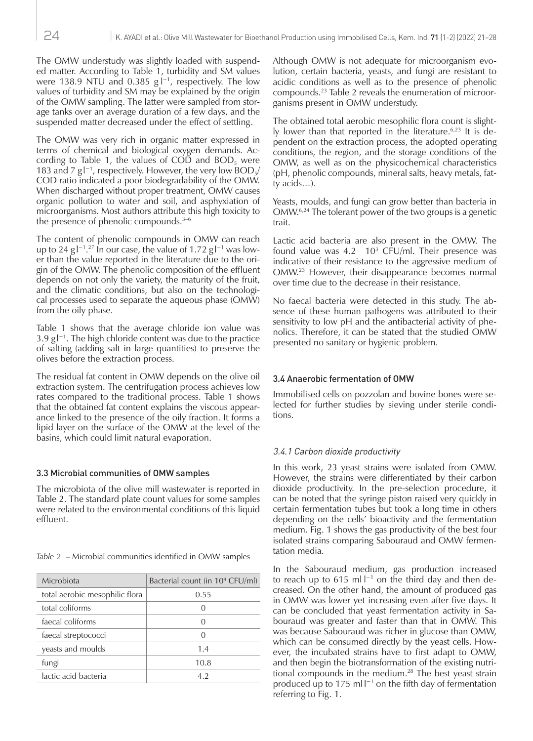The OMW understudy was slightly loaded with suspended matter. According to Table 1, turbidity and SM values were 138.9 NTU and 0.385  $g|^{-1}$ , respectively. The low values of turbidity and SM may be explained by the origin of the OMW sampling. The latter were sampled from storage tanks over an average duration of a few days, and the suspended matter decreased under the effect of settling.

The OMW was very rich in organic matter expressed in terms of chemical and biological oxygen demands. According to Table 1, the values of COD and  $BOD<sub>s</sub>$  were 183 and 7  $gl^{-1}$ , respectively. However, the very low BOD<sub>5</sub>/ COD ratio indicated a poor biodegradability of the OMW. When discharged without proper treatment, OMW causes organic pollution to water and soil, and asphyxiation of microorganisms. Most authors attribute this high toxicity to the presence of phenolic compounds.3–6

The content of phenolic compounds in OMW can reach up to 24 g  $\lfloor -1 \rfloor$ .<sup>27</sup> In our case, the value of 1.72 g  $\lfloor -1 \rfloor$  was lower than the value reported in the literature due to the origin of the OMW. The phenolic composition of the effluent depends on not only the variety, the maturity of the fruit, and the climatic conditions, but also on the technological processes used to separate the aqueous phase (OMW) from the oily phase.

Table 1 shows that the average chloride ion value was 3.9 g l −1. The high chloride content was due to the practice of salting (adding salt in large quantities) to preserve the olives before the extraction process.

The residual fat content in OMW depends on the olive oil extraction system. The centrifugation process achieves low rates compared to the traditional process. Table 1 shows that the obtained fat content explains the viscous appearance linked to the presence of the oily fraction. It forms a lipid layer on the surface of the OMW at the level of the basins, which could limit natural evaporation.

# 3.3 Microbial communities of OMW samples

The microbiota of the olive mill wastewater is reported in Table 2. The standard plate count values for some samples were related to the environmental conditions of this liquid effluent.

*Table 2* – Microbial communities identified in OMW samples

| Microbiota                     | Bacterial count (in $10^4$ CFU/ml) |
|--------------------------------|------------------------------------|
| total aerobic mesophilic flora | 0.55                               |
| total coliforms                |                                    |
| faecal coliforms               |                                    |
| faecal streptococci            | $\left( \right)$                   |
| yeasts and moulds              | 1.4                                |
| fungi                          | 10.8                               |
| lactic acid bacteria           | 4.2                                |

Although OMW is not adequate for microorganism evolution, certain bacteria, yeasts, and fungi are resistant to acidic conditions as well as to the presence of phenolic compounds.23 Table 2 reveals the enumeration of microorganisms present in OMW understudy.

The obtained total aerobic mesophilic flora count is slightly lower than that reported in the literature.<sup>6,23</sup> It is dependent on the extraction process, the adopted operating conditions, the region, and the storage conditions of the OMW, as well as on the physicochemical characteristics (pH, phenolic compounds, mineral salts, heavy metals, fatty acids…).

Yeasts, moulds, and fungi can grow better than bacteria in OMW.6,24 The tolerant power of the two groups is a genetic trait.

Lactic acid bacteria are also present in the OMW. The found value was  $4.2 \quad 10^3$  CFU/ml. Their presence was indicative of their resistance to the aggressive medium of OMW.<sup>23</sup> However, their disappearance becomes normal over time due to the decrease in their resistance.

No faecal bacteria were detected in this study. The absence of these human pathogens was attributed to their sensitivity to low pH and the antibacterial activity of phenolics. Therefore, it can be stated that the studied OMW presented no sanitary or hygienic problem.

## 3.4 Anaerobic fermentation of OMW

Immobilised cells on pozzolan and bovine bones were selected for further studies by sieving under sterile conditions.

# 3.4.1 Carbon dioxide productivity

In this work, 23 yeast strains were isolated from OMW. However, the strains were differentiated by their carbon dioxide productivity. In the pre-selection procedure, it can be noted that the syringe piston raised very quickly in certain fermentation tubes but took a long time in others depending on the cells' bioactivity and the fermentation medium. Fig. 1 shows the gas productivity of the best four isolated strains comparing Sabouraud and OMW fermentation media.

In the Sabouraud medium, gas production increased to reach up to 615 ml  $l^{-1}$  on the third day and then decreased. On the other hand, the amount of produced gas in OMW was lower yet increasing even after five days. It can be concluded that yeast fermentation activity in Sabouraud was greater and faster than that in OMW. This was because Sabouraud was richer in glucose than OMW, which can be consumed directly by the yeast cells. However, the incubated strains have to first adapt to OMW, and then begin the biotransformation of the existing nutritional compounds in the medium.<sup>28</sup> The best yeast strain produced up to 175 ml $l^{-1}$  on the fifth day of fermentation referring to Fig. 1.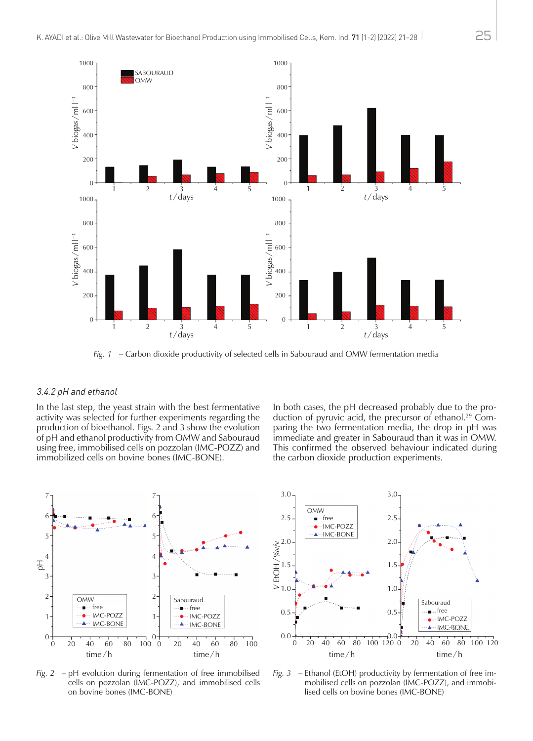

*Fig. 1* – Carbon dioxide productivity of selected cells in Sabouraud and OMW fermentation media

#### 3.4.2 pH and ethanol

In the last step, the yeast strain with the best fermentative activity was selected for further experiments regarding the production of bioethanol. Figs. 2 and 3 show the evolution of pH and ethanol productivity from OMW and Sabouraud using free, immobilised cells on pozzolan (IMC-POZZ) and immobilized cells on bovine bones (IMC-BONE).

In both cases, the pH decreased probably due to the production of pyruvic acid, the precursor of ethanol.<sup>29</sup> Comparing the two fermentation media, the drop in pH was immediate and greater in Sabouraud than it was in OMW. This confirmed the observed behaviour indicated during the carbon dioxide production experiments.



*Fig. 2* – pH evolution during fermentation of free immobilised cells on pozzolan (IMC-POZZ), and immobilised cells on bovine bones (IMC-BONE)



*Fig. 3* – Ethanol (EtOH) productivity by fermentation of free immobilised cells on pozzolan (IMC-POZZ), and immobilised cells on bovine bones (IMC-BONE)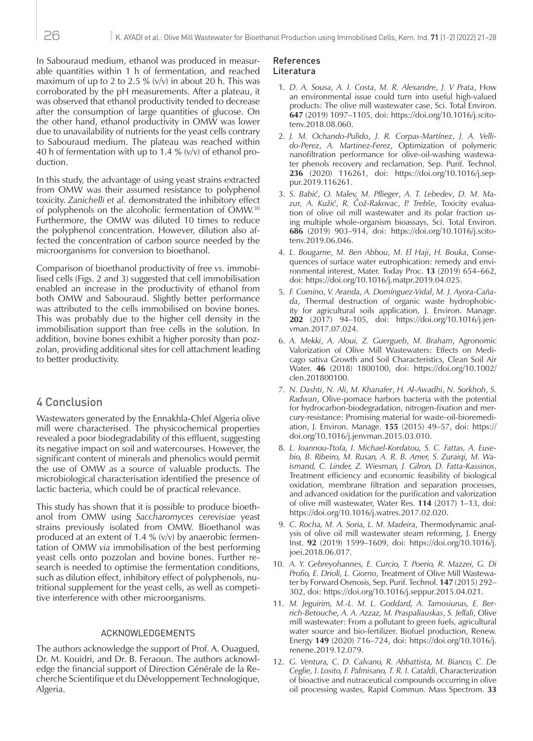In Sabouraud medium, ethanol was produced in measurable quantities within 1 h of fermentation, and reached maximum of up to 2 to 2.5 %  $(v/v)$  in about 20 h. This was corroborated by the pH measurements. After a plateau, it was observed that ethanol productivity tended to decrease after the consumption of large quantities of glucose. On the other hand, ethanol productivity in OMW was lower due to unavailability of nutrients for the yeast cells contrary to Sabouraud medium. The plateau was reached within 40 h of fermentation with up to 1.4 %  $(v/v)$  of ethanol production.

In this study, the advantage of using yeast strains extracted from OMW was their assumed resistance to polyphenol toxicity. *Zanichelli et al.* demonstrated the inhibitory effect of polyphenols on the alcoholic fermentation of OMW.<sup>30</sup> Furthermore, the OMW was diluted 10 times to reduce the polyphenol concentration. However, dilution also affected the concentration of carbon source needed by the microorganisms for conversion to bioethanol.

Comparison of bioethanol productivity of free *vs.* immobilised cells (Figs. 2 and 3) suggested that cell immobilisation enabled an increase in the productivity of ethanol from both OMW and Sabouraud. Slightly better performance was attributed to the cells immobilised on bovine bones. This was probably due to the higher cell density in the immobilisation support than free cells in the solution. In addition, bovine bones exhibit a higher porosity than pozzolan, providing additional sites for cell attachment leading to better productivity.

# 4 Conclusion

Wastewaters generated by the Ennakhla-Chlef Algeria olive mill were characterised. The physicochemical properties revealed a poor biodegradability of this effluent, suggesting its negative impact on soil and watercourses. However, the significant content of minerals and phenolics would permit the use of OMW as a source of valuable products. The microbiological characterisation identified the presence of lactic bacteria, which could be of practical relevance.

This study has shown that it is possible to produce bioethanol from OMW using *Saccharomyces cerevisiae* yeast strains previously isolated from OMW. Bioethanol was produced at an extent of 1.4 %  $(v/v)$  by anaerobic fermentation of OMW *via* immobilisation of the best performing yeast cells onto pozzolan and bovine bones. Further research is needed to optimise the fermentation conditions, such as dilution effect, inhibitory effect of polyphenols, nutritional supplement for the yeast cells, as well as competitive interference with other microorganisms.

#### ACKNOWLEDGEMENTS

The authors acknowledge the support of Prof. A. Ouagued, Dr. M. Kouidri, and Dr. B. Feraoun. The authors acknowledge the financial support of Direction Générale de la Recherche Scientifique et du Développement Technologique, Algeria.

#### References Literatura

- 1. *D. A. Sousa*, *A. I. Costa*, *M. R. Alexandre*, *J. V Prata*, How an environmental issue could turn into useful high-valued products: The olive mill wastewater case, Sci. Total Environ. **647** (2019) 1097–1105, doi: https://doi.org/10.1016/j.scitotenv.2018.08.060.
- 2. *J. M. Ochando-Pulido*, *J. R. Corpas-Martínez*, *J. A. Vellido-Perez*, *A. Martinez-Ferez*, Optimization of polymeric nanofiltration performance for olive-oil-washing wastewater phenols recovery and reclamation, Sep. Purif. Technol. **236** (2020) 116261, doi: https://doi.org/10.1016/j.seppur.2019.116261.
- 3. *S. Babić*, *O. Malev, M. Pflieger*, *A. T. Lebedev*, *D. M. Mazu*r*, A. Kužić*, *R. Čož-Rakovac*, *P. Trebše*, Toxicity evaluation of olive oil mill wastewater and its polar fraction using multiple whole-organism bioassays, Sci. Total Environ. **686** (2019) 903–914, doi: https://doi.org/10.1016/j.scitotenv.2019.06.046.
- 4. *L. Bougarne*, *M. Ben Abbou*, *M. El Haji*, *H. Bouka*, Consequences of surface water eutrophication: remedy and environmental interest, Mater. Today Proc. **13** (2019) 654–662, doi: https://doi.org/10.1016/j.matpr.2019.04.025.
- 5. *F. Comino*, *V. Aranda*, *A. Domínguez-Vidal*, *M. J. Ayora-Cañada*, Thermal destruction of organic waste hydrophobicity for agricultural soils application, J. Environ. Manage. **202** (2017) 94–105, doi: https://doi.org/10.1016/j.jenvman.2017.07.024.
- 6. *A. Mekki*, *A. Aloui, Z. Guergueb*, *M. Braham*, Agronomic Valorization of Olive Mill Wastewaters: Effects on Medicago sativa Growth and Soil Characteristics, Clean Soil Air Water. **46** (2018) 1800100, doi: https://doi.org/10.1002/ clen.201800100.
- 7. *N. Dashti*, *N. Ali*, *M. Khanafer*, *H. Al-Awadhi*, *N. Sorkhoh*, *S. Radwan*, Olive-pomace harbors bacteria with the potential for hydrocarbon-biodegradation, nitrogen-fixation and mercury-resistance: Promising material for waste-oil-bioremediation, J. Environ. Manage. **155** (2015) 49–57, doi: https:// doi.org/10.1016/j.jenvman.2015.03.010.
- 8. *L. Ioannou-Ttofa, I. Michael-Kordatou, S. C. Fattas, A. Eusebio, B. Ribeiro, M. Rusan, A. R. B. Amer, S. Zuraiqi, M. Waismand, C. Linder, Z. Wiesman, J. Gilron, D. Fatta-Kassinos*, Treatment efficiency and economic feasibility of biological oxidation, membrane filtration and separation processes, and advanced oxidation for the purification and valorization of olive mill wastewater, Water Res. **114** (2017) 1–13, doi: https://doi.org/10.1016/j.watres.2017.02.020.
- 9. *C. Rocha, M. A. Soria, L. M. Madeira*, Thermodynamic analysis of olive oil mill wastewater steam reforming, J. Energy Inst. **92** (2019) 1599–1609, doi: https://doi.org/10.1016/j. joei.2018.06.017.
- 10. *A. Y. Gebreyohannes, E. Curcio, T. Poerio, R. Mazzei, G. Di Profio, E. Drioli, L. Giorno*, Treatment of Olive Mill Wastewater by Forward Osmosis, Sep. Purif. Technol. **147** (2015) 292– 302, doi: https://doi.org/10.1016/j.seppur.2015.04.021.
- 11. *M. Jeguirim, M.-L. M. L. Goddard, A. Tamosiunas, E. Berrich-Betouche, A. A. Azzaz, M. Praspaliauskas*, *S. Jellali*, Olive mill wastewater: From a pollutant to green fuels, agricultural water source and bio-fertilizer. Biofuel production, Renew. Energy **149** (2020) 716–724, doi: https://doi.org/10.1016/j. renene.2019.12.079.
- 12. *G. Ventura, C. D. Calvano, R. Abbattista, M. Bianco, C. De Ceglie, I. Losito, F. Palmisano, T. R. I. Cataldi*, Characterization of bioactive and nutraceutical compounds occurring in olive oil processing wastes, Rapid Commun. Mass Spectrom. **33**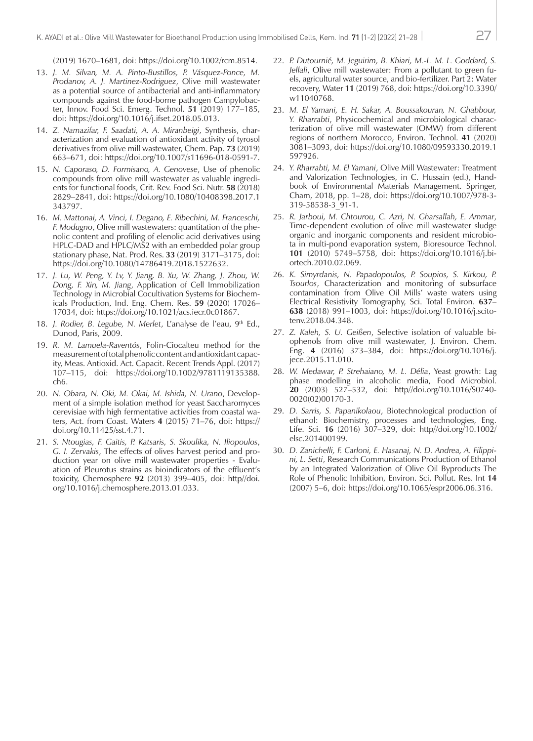(2019) 1670–1681, doi: https://doi.org/10.1002/rcm.8514.

- 13. *J. M. Silvan, M. A. Pinto-Bustillos, P. Vásquez-Ponce, M. Prodanov, A. J. Martinez-Rodriguez*, Olive mill wastewater as a potential source of antibacterial and anti-inflammatory compounds against the food-borne pathogen Campylobacter, Innov. Food Sci. Emerg. Technol. **51** (2019) 177–185, doi: https://doi.org/10.1016/j.ifset.2018.05.013.
- 14. *Z. Namazifar, F. Saadati, A. A. Miranbeigi*, Synthesis, characterization and evaluation of antioxidant activity of tyrosol derivatives from olive mill wastewater, Chem. Pap. **73** (2019) 663–671, doi: https://doi.org/10.1007/s11696-018-0591-7.
- 15. *N. Caporaso, D. Formisano, A. Genovese*, Use of phenolic compounds from olive mill wastewater as valuable ingredients for functional foods, Crit. Rev. Food Sci. Nutr. **58** (2018) 2829–2841, doi: https://doi.org/10.1080/10408398.2017.1 343797.
- 16. *M. Mattonai, A. Vinci, I. Degano, E. Ribechini, M. Franceschi, F. Modugno*, Olive mill wastewaters: quantitation of the phenolic content and profiling of elenolic acid derivatives using HPLC-DAD and HPLC/MS2 with an embedded polar group stationary phase, Nat. Prod. Res. **33** (2019) 3171–3175, doi: https://doi.org/10.1080/14786419.2018.1522632.
- 17. *J. Lu, W. Peng, Y. Lv, Y. Jiang, B. Xu, W. Zhang, J. Zhou, W. Dong, F. Xin, M. Jiang*, Application of Cell Immobilization Technology in Microbial Cocultivation Systems for Biochemicals Production, Ind. Eng. Chem. Res. **59** (2020) 17026– 17034, doi: https://doi.org/10.1021/acs.iecr.0c01867.
- 18. *J. Rodier, B. Legube, N. Merlet, L'analyse de l'eau, 9<sup>th</sup> Ed.,* Dunod, Paris, 2009.
- 19. *R. M. Lamuela-Raventós*, Folin-Ciocalteu method for the measurement of total phenolic content and antioxidant capacity, Meas. Antioxid. Act. Capacit. Recent Trends Appl. (2017) 107–115, doi: https://doi.org/10.1002/9781119135388. ch6.
- 20. *N. Obara, N. Oki, M. Okai, M. Ishida, N. Urano*, Development of a simple isolation method for yeast Saccharomyces cerevisiae with high fermentative activities from coastal waters, Act. from Coast. Waters **4** (2015) 71–76, doi: https:// doi.org/10.11425/sst.4.71.
- 21. *S. Ntougias, F. Gaitis, P. Katsaris, S. Skoulika, N. Iliopoulos*, *G. I. Zervakis*, The effects of olives harvest period and production year on olive mill wastewater properties - Evaluation of Pleurotus strains as bioindicators of the effluent's toxicity, Chemosphere **92** (2013) 399–405, doi: http//doi. org/10.1016/j.chemosphere.2013.01.033.
- 22. *P. Dutournié, M. Jeguirim, B. Khiari, M.-L. M. L. Goddard, S. Jellali*, Olive mill wastewater: From a pollutant to green fuels, agricultural water source, and bio-fertilizer. Part 2: Water recovery, Water **11** (2019) 768, doi: https://doi.org/10.3390/ w11040768.
- 23. *M. El Yamani, E. H. Sakar, A. Boussakouran, N. Ghabbour, Y. Rharrabti*, Physicochemical and microbiological characterization of olive mill wastewater (OMW) from different regions of northern Morocco, Environ. Technol. **41** (2020) 3081–3093, doi: https://doi.org/10.1080/09593330.2019.1 597926.
- 24. *Y. Rharrabti, M. El Yamani*, Olive Mill Wastewater: Treatment and Valorization Technologies, in C. Hussain (ed.), Handbook of Environmental Materials Management. Springer, Cham, 2018, pp. 1–28, doi: https://doi.org/10.1007/978-3- 319-58538-3\_91-1.
- 25. *R. Jarboui, M. Chtourou, C. Azri, N. Gharsallah, E. Ammar*, Time-dependent evolution of olive mill wastewater sludge organic and inorganic components and resident microbiota in multi-pond evaporation system, Bioresource Technol. **101** (2010) 5749–5758, doi: https://doi.org/10.1016/j.biortech.2010.02.069.
- 26. *K. Simyrdanis, N. Papadopoulos, P. Soupios, S. Kirkou, P. Tsourlos*, Characterization and monitoring of subsurface contamination from Olive Oil Mills' waste waters using Electrical Resistivity Tomography, Sci. Total Environ. **637**– **638** (2018) 991–1003, doi: https://doi.org/10.1016/j.scitotenv.2018.04.348.
- 27. *Z. Kaleh, S. U. Geißen*, Selective isolation of valuable biophenols from olive mill wastewater, J. Environ. Chem. Eng. **4** (2016) 373–384, doi: https://doi.org/10.1016/j. jece.2015.11.010.
- 28. *W. Medawar, P. Strehaiano, M. L. Délia*, Yeast growth: Lag phase modelling in alcoholic media, Food Microbiol. **20** (2003) 527–532, doi: http//doi.org/10.1016/S0740- 0020(02)00170-3.
- 29. *D. Sarris, S. Papanikolaou*, Biotechnological production of ethanol: Biochemistry, processes and technologies, Eng. Life. Sci. **16** (2016) 307–329, doi: http//doi.org/10.1002/ elsc.201400199.
- 30. *D. Zanichelli, F. Carloni, E. Hasanaj, N. D. Andrea, A. Filippini, L. Setti*, Research Communications Production of Ethanol by an Integrated Valorization of Olive Oil Byproducts The Role of Phenolic Inhibition, Environ. Sci. Pollut. Res. Int **14** (2007) 5–6, doi: https://doi.org/10.1065/espr2006.06.316.